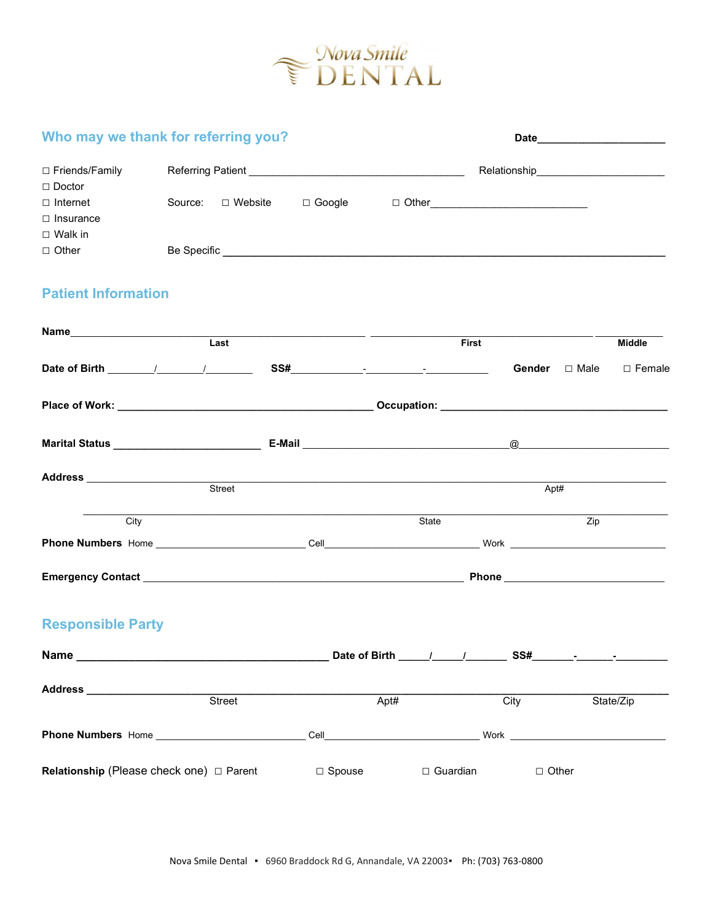

| Who may we thank for referring you?                                       |                                                      |  |                             |              |                                          |  |  |  |
|---------------------------------------------------------------------------|------------------------------------------------------|--|-----------------------------|--------------|------------------------------------------|--|--|--|
| □ Friends/Family                                                          |                                                      |  |                             |              | Relationship__________________________   |  |  |  |
| $\Box$ Doctor<br>$\Box$ Internet<br>$\Box$ Insurance<br>$\square$ Walk in |                                                      |  |                             |              |                                          |  |  |  |
| $\Box$ Other                                                              |                                                      |  |                             |              |                                          |  |  |  |
| <b>Patient Information</b>                                                |                                                      |  |                             |              |                                          |  |  |  |
|                                                                           |                                                      |  |                             | <b>First</b> |                                          |  |  |  |
|                                                                           |                                                      |  |                             | Gender       | <b>Middle</b><br>$\Box$ Male<br>□ Female |  |  |  |
|                                                                           |                                                      |  |                             |              |                                          |  |  |  |
|                                                                           |                                                      |  |                             |              |                                          |  |  |  |
|                                                                           | Address<br>Street<br>Street                          |  |                             | Apt#         |                                          |  |  |  |
| City                                                                      |                                                      |  | State                       |              | $\overline{Zip}$                         |  |  |  |
|                                                                           |                                                      |  |                             |              |                                          |  |  |  |
|                                                                           |                                                      |  |                             |              |                                          |  |  |  |
| <b>Responsible Party</b>                                                  |                                                      |  |                             |              |                                          |  |  |  |
|                                                                           |                                                      |  |                             |              |                                          |  |  |  |
|                                                                           | Street                                               |  | Apt#                        | City         | State/Zip                                |  |  |  |
|                                                                           |                                                      |  |                             |              |                                          |  |  |  |
|                                                                           | <b>Relationship (Please check one)</b> $\Box$ Parent |  | $\Box$ Spouse<br>□ Guardian | $\Box$ Other |                                          |  |  |  |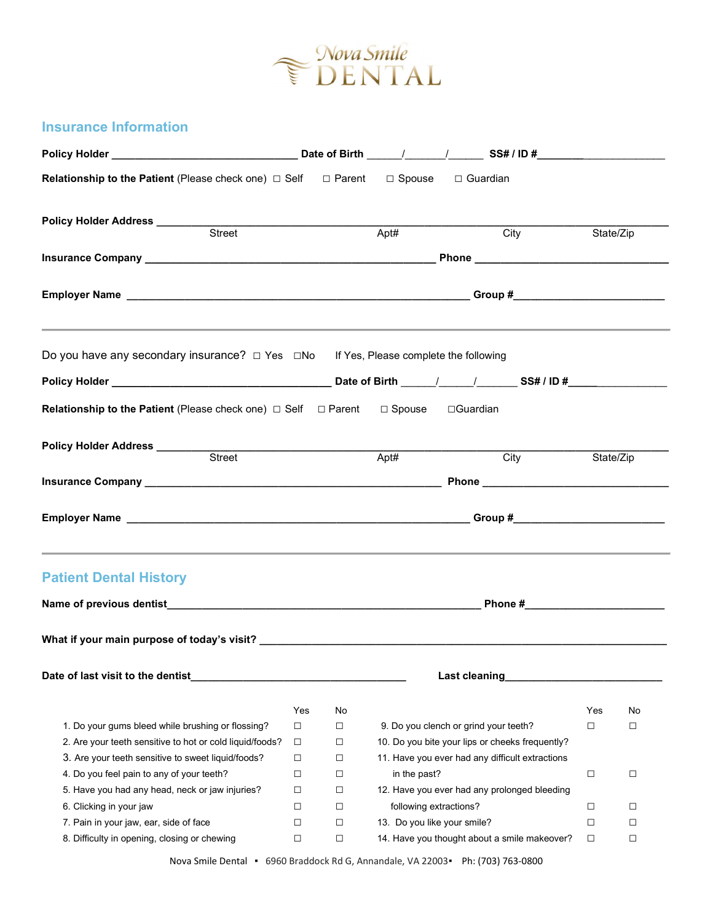

## Insurance Information

| <b>Relationship to the Patient</b> (Please check one) $\Box$ Self $\Box$ Parent $\Box$ Spouse $\Box$ Guardian |        |        |                             |                                                 |           |           |
|---------------------------------------------------------------------------------------------------------------|--------|--------|-----------------------------|-------------------------------------------------|-----------|-----------|
|                                                                                                               |        |        |                             |                                                 |           |           |
|                                                                                                               |        |        | Apt#                        | $\overline{\text{City}}$                        |           | State/Zip |
|                                                                                                               |        |        |                             |                                                 |           |           |
|                                                                                                               |        |        |                             |                                                 |           |           |
| Do you have any secondary insurance? $\Box$ Yes $\Box$ No If Yes, Please complete the following               |        |        |                             |                                                 |           |           |
|                                                                                                               |        |        |                             |                                                 |           |           |
| <b>Relationship to the Patient</b> (Please check one) □ Self □ Parent □ Spouse □ Guardian                     |        |        |                             |                                                 |           |           |
|                                                                                                               |        |        | Apt#                        | City                                            | State/Zip |           |
|                                                                                                               |        |        |                             |                                                 |           |           |
|                                                                                                               |        |        |                             |                                                 |           |           |
| <b>Patient Dental History</b>                                                                                 |        |        |                             |                                                 |           |           |
|                                                                                                               |        |        |                             |                                                 |           |           |
| Date of last visit to the dentist                                                                             |        |        |                             | Last cleaning                                   |           |           |
|                                                                                                               | Yes    | No     |                             |                                                 | Yes       | No        |
| 1. Do your gums bleed while brushing or flossing?                                                             | $\Box$ | $\Box$ |                             | 9. Do you clench or grind your teeth?           | □         | □         |
| 2. Are your teeth sensitive to hot or cold liquid/foods?                                                      | $\Box$ | $\Box$ |                             | 10. Do you bite your lips or cheeks frequently? |           |           |
| 3. Are your teeth sensitive to sweet liquid/foods?                                                            | $\Box$ | □      |                             | 11. Have you ever had any difficult extractions |           |           |
| 4. Do you feel pain to any of your teeth?                                                                     | $\Box$ | $\Box$ | in the past?                |                                                 | $\Box$    | $\Box$    |
| 5. Have you had any head, neck or jaw injuries?                                                               | $\Box$ | □      |                             | 12. Have you ever had any prolonged bleeding    |           |           |
| 6. Clicking in your jaw                                                                                       | $\Box$ | $\Box$ | following extractions?      |                                                 | □         | □         |
| 7. Pain in your jaw, ear, side of face                                                                        | $\Box$ | $\Box$ | 13. Do you like your smile? |                                                 | □         | □         |
| 8. Difficulty in opening, closing or chewing                                                                  | $\Box$ | $\Box$ |                             | 14. Have you thought about a smile makeover?    | $\Box$    | □         |

Nova Smile Dental ▪ 6960 Braddock Rd G, Annandale, VA 22003▪ Ph: (703) 763-0800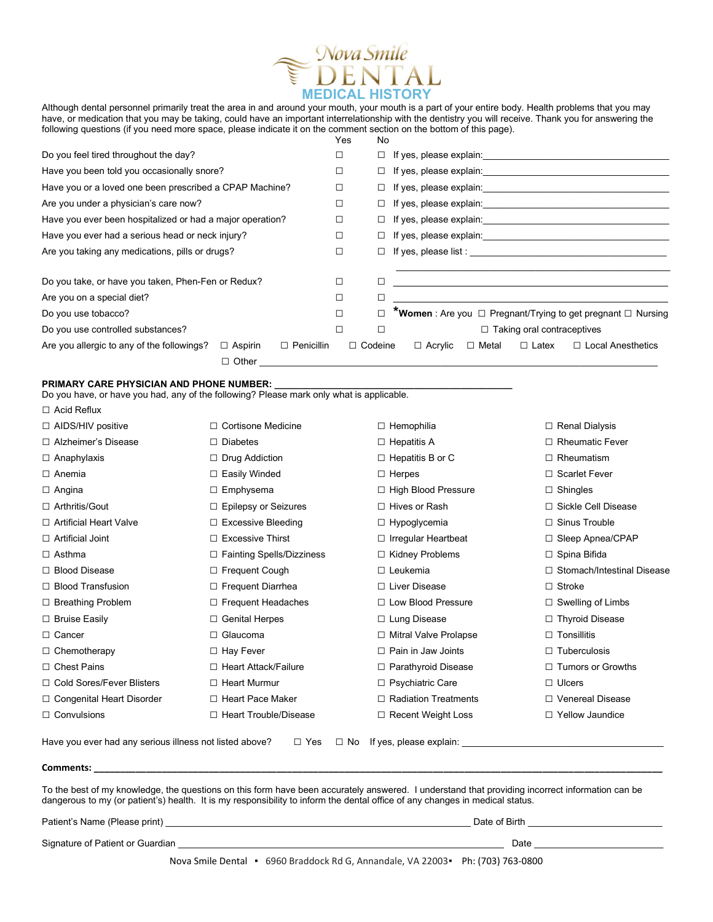

Although dental personnel primarily treat the area in and around your mouth, your mouth is a part of your entire body. Health problems that you may have, or medication that you may be taking, could have an important interrelationship with the dentistry you will receive. Thank you for answering the following questions (if you need more space, please indicate it on the comment section on the bottom of this page).

|                                                              |                   | Yes | No             |                                                                                                                                                                                                                                    |              |                                   |                                                                     |  |
|--------------------------------------------------------------|-------------------|-----|----------------|------------------------------------------------------------------------------------------------------------------------------------------------------------------------------------------------------------------------------------|--------------|-----------------------------------|---------------------------------------------------------------------|--|
| Do you feel tired throughout the day?                        |                   | □   | $\Box$         | If yes, please explain: The state of the state of the state of the state of the state of the state of the state of the state of the state of the state of the state of the state of the state of the state of the state of the     |              |                                   |                                                                     |  |
| Have you been told you occasionally snore?                   |                   |     |                | If yes, please explain: The state of the state of the state of the state of the state of the state of the state of the state of the state of the state of the state of the state of the state of the state of the state of the     |              |                                   |                                                                     |  |
| Have you or a loved one been prescribed a CPAP Machine?      |                   |     |                | If yes, please explain: \\esp \\esp \\esp \\esp \\esp \\esp \\esp \\esp \\esp \\esp \\esp \\esp \\esp \\esp \\esp \\esp \\esp \\esp \\esp \\esp \\esp \\esp \\esp \\esp \\esp \\esp \\esp \\esp \\esp \\esp \\esp \\esp \\esp      |              |                                   |                                                                     |  |
| Are you under a physician's care now?                        |                   |     |                |                                                                                                                                                                                                                                    |              |                                   |                                                                     |  |
| Have you ever been hospitalized or had a major operation?    |                   |     |                | □ If yes, please explain: <u>University</u> and the set of the set of the set of the set of the set of the set of the set of the set of the set of the set of the set of the set of the set of the set of the set of the set of th |              |                                   |                                                                     |  |
| Have you ever had a serious head or neck injury?             |                   |     |                |                                                                                                                                                                                                                                    |              |                                   |                                                                     |  |
| Are you taking any medications, pills or drugs?              |                   |     |                | $\Box$ If yes, please list : $\Box$                                                                                                                                                                                                |              |                                   |                                                                     |  |
| Do you take, or have you taken, Phen-Fen or Redux?           |                   |     | □              |                                                                                                                                                                                                                                    |              |                                   |                                                                     |  |
| Are you on a special diet?                                   |                   | □   | ◻              |                                                                                                                                                                                                                                    |              |                                   |                                                                     |  |
| Do you use tobacco?                                          |                   | □   |                |                                                                                                                                                                                                                                    |              |                                   | <b>*Women</b> : Are you □ Pregnant/Trying to get pregnant □ Nursing |  |
| Do you use controlled substances?                            |                   |     | □              |                                                                                                                                                                                                                                    |              | $\Box$ Taking oral contraceptives |                                                                     |  |
| Are you allergic to any of the followings?<br>$\Box$ Aspirin | $\Box$ Penicillin |     | $\Box$ Codeine | $\Box$ Acrylic                                                                                                                                                                                                                     | $\Box$ Metal | $\Box$ Latex                      | $\Box$ Local Anesthetics                                            |  |
| $\Box$ Other                                                 |                   |     |                |                                                                                                                                                                                                                                    |              |                                   |                                                                     |  |

## PRIMARY CARE PHYSICIAN AND PHONE NUMBER:

|                                                         | Do you have, or have you had, any of the following? Please mark only what is applicable. |                             |                              |
|---------------------------------------------------------|------------------------------------------------------------------------------------------|-----------------------------|------------------------------|
| $\Box$ Acid Reflux                                      |                                                                                          |                             |                              |
| $\Box$ AIDS/HIV positive                                | $\Box$ Cortisone Medicine                                                                | $\Box$ Hemophilia           | $\Box$ Renal Dialysis        |
| □ Alzheimer's Disease                                   | $\Box$ Diabetes                                                                          | $\Box$ Hepatitis A          | $\Box$ Rheumatic Fever       |
| $\Box$ Anaphylaxis                                      | $\Box$ Drug Addiction                                                                    | $\Box$ Hepatitis B or C     | $\Box$ Rheumatism            |
| $\Box$ Anemia                                           | □ Easily Winded                                                                          | $\Box$ Herpes               | □ Scarlet Fever              |
| $\Box$ Angina                                           | $\Box$ Emphysema                                                                         | □ High Blood Pressure       | $\Box$ Shingles              |
| □ Arthritis/Gout                                        | $\Box$ Epilepsy or Seizures                                                              | $\Box$ Hives or Rash        | □ Sickle Cell Disease        |
| □ Artificial Heart Valve                                | $\Box$ Excessive Bleeding                                                                | $\Box$ Hypoglycemia         | $\Box$ Sinus Trouble         |
| $\Box$ Artificial Joint                                 | $\Box$ Excessive Thirst                                                                  | $\Box$ Irregular Heartbeat  | $\Box$ Sleep Apnea/CPAP      |
| $\Box$ Asthma                                           | □ Fainting Spells/Dizziness                                                              | □ Kidney Problems           | □ Spina Bifida               |
| □ Blood Disease                                         | $\Box$ Frequent Cough                                                                    | $\Box$ Leukemia             | □ Stomach/Intestinal Disease |
| $\Box$ Blood Transfusion                                | □ Frequent Diarrhea                                                                      | □ Liver Disease             | $\Box$ Stroke                |
| $\Box$ Breathing Problem                                | $\Box$ Frequent Headaches                                                                | □ Low Blood Pressure        | $\Box$ Swelling of Limbs     |
| $\Box$ Bruise Easily                                    | □ Genital Herpes                                                                         | □ Lung Disease              | □ Thyroid Disease            |
| $\Box$ Cancer                                           | $\Box$ Glaucoma                                                                          | □ Mitral Valve Prolapse     | $\Box$ Tonsillitis           |
| $\Box$ Chemotherapy                                     | $\Box$ Hay Fever                                                                         | $\Box$ Pain in Jaw Joints   | $\Box$ Tuberculosis          |
| $\Box$ Chest Pains                                      | □ Heart Attack/Failure                                                                   | $\Box$ Parathyroid Disease  | $\Box$ Tumors or Growths     |
| □ Cold Sores/Fever Blisters                             | $\Box$ Heart Murmur                                                                      | □ Psychiatric Care          | $\Box$ Ulcers                |
| □ Congenital Heart Disorder                             | □ Heart Pace Maker                                                                       | $\Box$ Radiation Treatments | □ Venereal Disease           |
| $\Box$ Convulsions                                      | □ Heart Trouble/Disease                                                                  | $\Box$ Recent Weight Loss   | □ Yellow Jaundice            |
| Have you ever had any serious illness not listed above? | $\Box$ Yes<br>$\Box$ No                                                                  | If yes, please explain:     |                              |
| Comments:                                               |                                                                                          |                             |                              |

To the best of my knowledge, the questions on this form have been accurately answered. I understand that providing incorrect information can be dangerous to my (or patient's) health. It is my responsibility to inform the dental office of any changes in medical status.

| Patient's Name (Please print)                                                    | Date of Birth |  |  |  |  |
|----------------------------------------------------------------------------------|---------------|--|--|--|--|
| Signature of Patient or Guardian                                                 | Date          |  |  |  |  |
| Nova Smile Dental • 6960 Braddock Rd G, Annandale, VA 22003 • Ph: (703) 763-0800 |               |  |  |  |  |